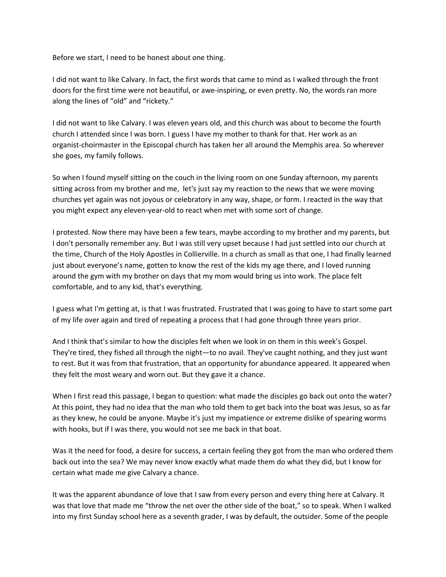Before we start, I need to be honest about one thing.

I did not want to like Calvary. In fact, the first words that came to mind as I walked through the front doors for the first time were not beautiful, or awe-inspiring, or even pretty. No, the words ran more along the lines of "old" and "rickety."

I did not want to like Calvary. I was eleven years old, and this church was about to become the fourth church I attended since I was born. I guess I have my mother to thank for that. Her work as an organist-choirmaster in the Episcopal church has taken her all around the Memphis area. So wherever she goes, my family follows.

So when I found myself sitting on the couch in the living room on one Sunday afternoon, my parents sitting across from my brother and me, let's just say my reaction to the news that we were moving churches yet again was not joyous or celebratory in any way, shape, or form. I reacted in the way that you might expect any eleven-year-old to react when met with some sort of change.

I protested. Now there may have been a few tears, maybe according to my brother and my parents, but I don't personally remember any. But I was still very upset because I had just settled into our church at the time, Church of the Holy Apostles in Collierville. In a church as small as that one, I had finally learned just about everyone's name, gotten to know the rest of the kids my age there, and I loved running around the gym with my brother on days that my mom would bring us into work. The place felt comfortable, and to any kid, that's everything.

I guess what I'm getting at, is that I was frustrated. Frustrated that I was going to have to start some part of my life over again and tired of repeating a process that I had gone through three years prior.

And I think that's similar to how the disciples felt when we look in on them in this week's Gospel. They're tired, they fished all through the night—to no avail. They've caught nothing, and they just want to rest. But it was from that frustration, that an opportunity for abundance appeared. It appeared when they felt the most weary and worn out. But they gave it a chance.

When I first read this passage, I began to question: what made the disciples go back out onto the water? At this point, they had no idea that the man who told them to get back into the boat was Jesus, so as far as they knew, he could be anyone. Maybe it's just my impatience or extreme dislike of spearing worms with hooks, but if I was there, you would not see me back in that boat.

Was it the need for food, a desire for success, a certain feeling they got from the man who ordered them back out into the sea? We may never know exactly what made them do what they did, but I know for certain what made me give Calvary a chance.

It was the apparent abundance of love that I saw from every person and every thing here at Calvary. It was that love that made me "throw the net over the other side of the boat," so to speak. When I walked into my first Sunday school here as a seventh grader, I was by default, the outsider. Some of the people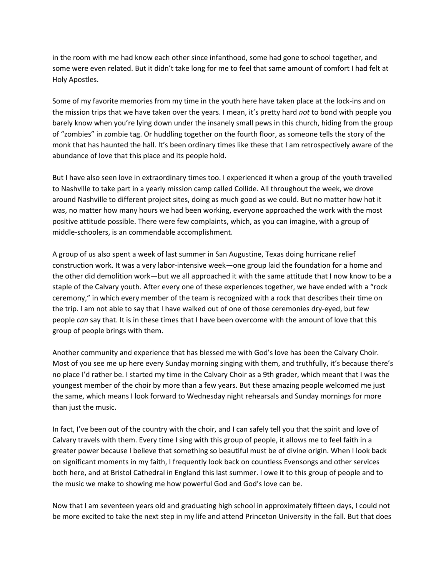in the room with me had know each other since infanthood, some had gone to school together, and some were even related. But it didn't take long for me to feel that same amount of comfort I had felt at Holy Apostles.

Some of my favorite memories from my time in the youth here have taken place at the lock-ins and on the mission trips that we have taken over the years. I mean, it's pretty hard *not* to bond with people you barely know when you're lying down under the insanely small pews in this church, hiding from the group of "zombies" in zombie tag. Or huddling together on the fourth floor, as someone tells the story of the monk that has haunted the hall. It's been ordinary times like these that I am retrospectively aware of the abundance of love that this place and its people hold.

But I have also seen love in extraordinary times too. I experienced it when a group of the youth travelled to Nashville to take part in a yearly mission camp called Collide. All throughout the week, we drove around Nashville to different project sites, doing as much good as we could. But no matter how hot it was, no matter how many hours we had been working, everyone approached the work with the most positive attitude possible. There were few complaints, which, as you can imagine, with a group of middle-schoolers, is an commendable accomplishment.

A group of us also spent a week of last summer in San Augustine, Texas doing hurricane relief construction work. It was a very labor-intensive week—one group laid the foundation for a home and the other did demolition work—but we all approached it with the same attitude that I now know to be a staple of the Calvary youth. After every one of these experiences together, we have ended with a "rock ceremony," in which every member of the team is recognized with a rock that describes their time on the trip. I am not able to say that I have walked out of one of those ceremonies dry-eyed, but few people *can* say that. It is in these times that I have been overcome with the amount of love that this group of people brings with them.

Another community and experience that has blessed me with God's love has been the Calvary Choir. Most of you see me up here every Sunday morning singing with them, and truthfully, it's because there's no place I'd rather be. I started my time in the Calvary Choir as a 9th grader, which meant that I was the youngest member of the choir by more than a few years. But these amazing people welcomed me just the same, which means I look forward to Wednesday night rehearsals and Sunday mornings for more than just the music.

In fact, I've been out of the country with the choir, and I can safely tell you that the spirit and love of Calvary travels with them. Every time I sing with this group of people, it allows me to feel faith in a greater power because I believe that something so beautiful must be of divine origin. When I look back on significant moments in my faith, I frequently look back on countless Evensongs and other services both here, and at Bristol Cathedral in England this last summer. I owe it to this group of people and to the music we make to showing me how powerful God and God's love can be.

Now that I am seventeen years old and graduating high school in approximately fifteen days, I could not be more excited to take the next step in my life and attend Princeton University in the fall. But that does